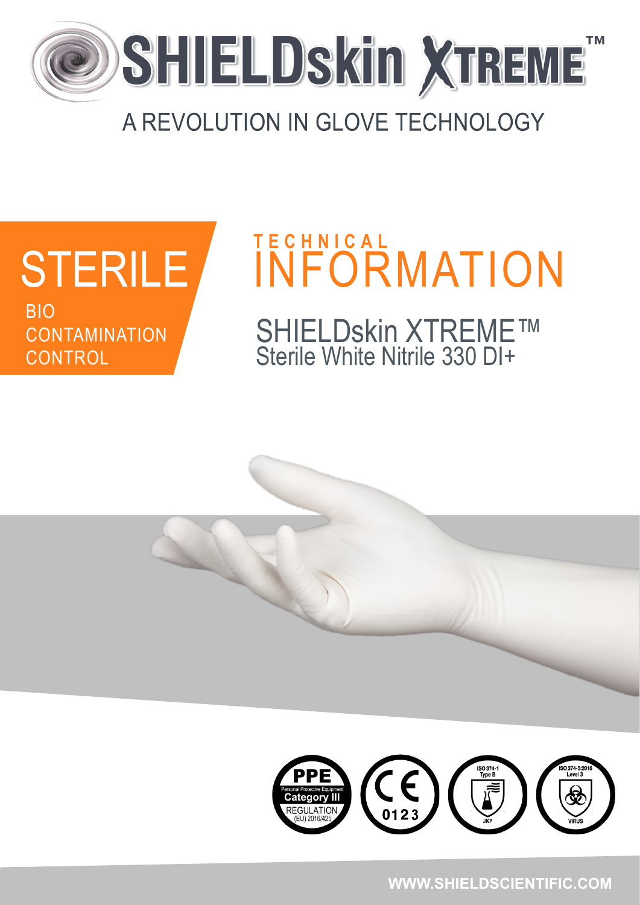

#### A REVOLUTION IN GLOVE TECHNOLOGY



# STERILE INFORMATION **T E C H N I C A L** SHIELDskin XTREME™ Sterile White Nitrile 330 DI+



**WWW.SHIELDSCIENTIFIC.COM**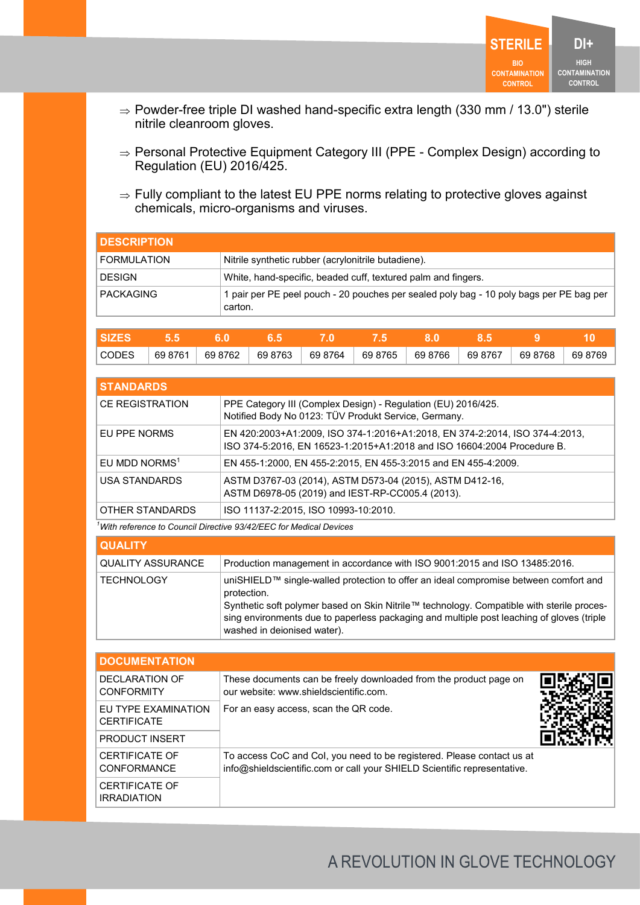

- $\Rightarrow$  Powder-free triple DI washed hand-specific extra length (330 mm / 13.0") sterile nitrile cleanroom gloves.
- ⇒ Personal Protective Equipment Category III (PPE Complex Design) according to Regulation (EU) 2016/425.
- $\Rightarrow$  Fully compliant to the latest EU PPE norms relating to protective gloves against chemicals, micro-organisms and viruses.

| <b>I</b> DESCRIPTION |                                                                                                    |
|----------------------|----------------------------------------------------------------------------------------------------|
| <b>FORMULATION</b>   | Nitrile synthetic rubber (acrylonitrile butadiene).                                                |
| <b>DESIGN</b>        | White, hand-specific, beaded cuff, textured palm and fingers.                                      |
| <b>PACKAGING</b>     | 1 pair per PE peel pouch - 20 pouches per sealed poly bag - 10 poly bags per PE bag per<br>carton. |

| <b>SIZES</b> |         |         |         |         |         |         |         |         |         |
|--------------|---------|---------|---------|---------|---------|---------|---------|---------|---------|
| <b>CODES</b> | 69 8761 | 69 8762 | 69 8763 | 69 8764 | 69 8765 | 69 8766 | 69 8767 | 69 8768 | 69 8769 |

| <b>STANDARDS</b>          |                                                                                                                                                        |
|---------------------------|--------------------------------------------------------------------------------------------------------------------------------------------------------|
| <b>CE REGISTRATION</b>    | PPE Category III (Complex Design) - Regulation (EU) 2016/425.<br>Notified Body No 0123: TÜV Produkt Service, Germany.                                  |
| EU PPE NORMS              | EN 420:2003+A1:2009, ISO 374-1:2016+A1:2018, EN 374-2:2014, ISO 374-4:2013,<br>ISO 374-5:2016, EN 16523-1:2015+A1:2018 and ISO 16604:2004 Procedure B. |
| EU MDD NORMS <sup>1</sup> | EN 455-1:2000, EN 455-2:2015, EN 455-3:2015 and EN 455-4:2009.                                                                                         |
| <b>USA STANDARDS</b>      | ASTM D3767-03 (2014), ASTM D573-04 (2015), ASTM D412-16,<br>ASTM D6978-05 (2019) and IEST-RP-CC005.4 (2013).                                           |
| OTHER STANDARDS           | ISO 11137-2:2015, ISO 10993-10:2010.                                                                                                                   |

*<sup>1</sup>With reference to Council Directive 93/42/EEC for Medical Devices*

| <b>QUALITY</b>    |                                                                                                                                                                                                                                                                                                                              |
|-------------------|------------------------------------------------------------------------------------------------------------------------------------------------------------------------------------------------------------------------------------------------------------------------------------------------------------------------------|
| QUALITY ASSURANCE | Production management in accordance with ISO 9001:2015 and ISO 13485:2016.                                                                                                                                                                                                                                                   |
| TECHNOLOGY        | uniSHIELD™ single-walled protection to offer an ideal compromise between comfort and<br>protection.<br>Synthetic soft polymer based on Skin Nitrile™ technology. Compatible with sterile proces-<br>sing environments due to paperless packaging and multiple post leaching of gloves (triple<br>washed in deionised water). |

| <b>DOCUMENTATION</b>                        |                                                                                                                                                    |  |
|---------------------------------------------|----------------------------------------------------------------------------------------------------------------------------------------------------|--|
| DECLARATION OF<br><b>CONFORMITY</b>         | These documents can be freely downloaded from the product page on<br>our website: www.shieldscientific.com.                                        |  |
| EU TYPE EXAMINATION<br><b>CERTIFICATE</b>   | For an easy access, scan the QR code.                                                                                                              |  |
| <b>PRODUCT INSERT</b>                       |                                                                                                                                                    |  |
| <b>CERTIFICATE OF</b><br><b>CONFORMANCE</b> | To access CoC and Col, you need to be registered. Please contact us at<br>info@shieldscientific.com or call your SHIELD Scientific representative. |  |
| <b>CERTIFICATE OF</b><br><b>IRRADIATION</b> |                                                                                                                                                    |  |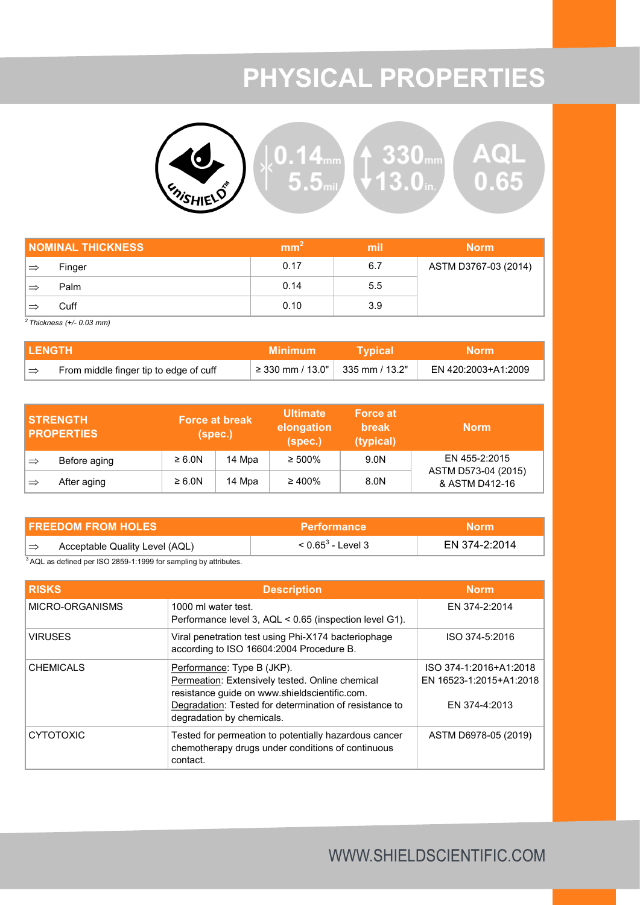### **PHYSICAL PROPERTIES**



| <b>NOMINAL THICKNESS</b> |        | mm <sup>-</sup> | mil | <b>Norm</b>          |
|--------------------------|--------|-----------------|-----|----------------------|
| $\Rightarrow$            | Finger | 0.17            | 6.7 | ASTM D3767-03 (2014) |
|                          | Palm   | 0.14            | 5.5 |                      |
|                          | Cuff   | 0.10            | 3.9 |                      |

*<sup>2</sup>Thickness (+/- 0.03 mm)*

| I LENGTH |                                        | <b>Minimum</b>                                              | <b>T</b> Voical | Norm.               |
|----------|----------------------------------------|-------------------------------------------------------------|-----------------|---------------------|
| ∣⇒       | From middle finger tip to edge of cuff | $\frac{1}{2}$ ≥ 330 mm / 13.0" $\frac{1}{2}$ 335 mm / 13.2" |                 | EN 420:2003+A1:2009 |

|               | <b>STRENGTH</b><br><b>PROPERTIES</b> | <b>Force at break</b><br>(spec.) |        | <b>Ultimate</b><br>elongation<br>(spec.) | <b>Force at</b><br><b>break</b><br>(typical) | <b>Norm</b>                           |
|---------------|--------------------------------------|----------------------------------|--------|------------------------------------------|----------------------------------------------|---------------------------------------|
| $\Rightarrow$ | Before aging                         | $\geq 6.0N$                      | 14 Mpa | $\geq 500\%$                             | 9.0N                                         | EN 455-2:2015                         |
| ∣⇒            | After aging                          | $\geq 6.0N$                      | 14 Mpa | $\geq 400\%$                             | 8.0N                                         | ASTM D573-04 (2015)<br>& ASTM D412-16 |

| <b>FREEDOM FROM HOLES</b> |                                | <b>Performance</b>   | <b>Norm</b>   |  |
|---------------------------|--------------------------------|----------------------|---------------|--|
| ∣⇒                        | Acceptable Quality Level (AQL) | $< 0.65^3$ - Level 3 | EN 374-2:2014 |  |

<sup>3</sup>AQL as defined per ISO 2859-1:1999 for sampling by attributes.

| <b>RISKS</b>     | <b>Description</b>                                                                                                                                                                                                    | Norm.                                                              |
|------------------|-----------------------------------------------------------------------------------------------------------------------------------------------------------------------------------------------------------------------|--------------------------------------------------------------------|
| MICRO-ORGANISMS  | 1000 ml water test.<br>Performance level 3, AQL < 0.65 (inspection level G1).                                                                                                                                         | EN 374-2:2014                                                      |
| <b>VIRUSES</b>   | Viral penetration test using Phi-X174 bacteriophage<br>according to ISO 16604:2004 Procedure B.                                                                                                                       | ISO 374-5:2016                                                     |
| <b>CHEMICALS</b> | Performance: Type B (JKP).<br>Permeation: Extensively tested. Online chemical<br>resistance guide on www.shieldscientific.com.<br>Degradation: Tested for determination of resistance to<br>degradation by chemicals. | ISO 374-1:2016+A1:2018<br>EN 16523-1:2015+A1:2018<br>EN 374-4:2013 |
| <b>CYTOTOXIC</b> | Tested for permeation to potentially hazardous cancer<br>chemotherapy drugs under conditions of continuous<br>contact.                                                                                                | ASTM D6978-05 (2019)                                               |